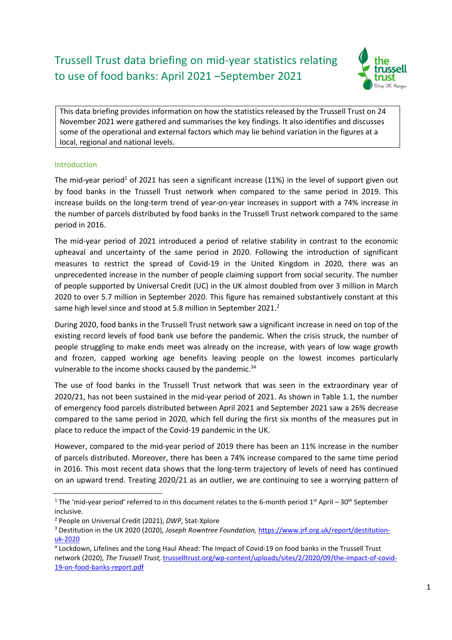# Trussell Trust data briefing on mid-year statistics relating to use of food banks: April 2021 –September 2021



This data briefing provides information on how the statistics released by the Trussell Trust on 24 November 2021 were gathered and summarises the key findings. It also identifies and discusses some of the operational and external factors which may lie behind variation in the figures at a local, regional and national levels.

## Introduction

The mid-year period<sup>1</sup> of 2021 has seen a significant increase (11%) in the level of support given out by food banks in the Trussell Trust network when compared to the same period in 2019. This increase builds on the long-term trend of year-on-year increases in support with a 74% increase in the number of parcels distributed by food banks in the Trussell Trust network compared to the same period in 2016.

The mid-year period of 2021 introduced a period of relative stability in contrast to the economic upheaval and uncertainty of the same period in 2020. Following the introduction of significant measures to restrict the spread of Covid-19 in the United Kingdom in 2020, there was an unprecedented increase in the number of people claiming support from social security. The number of people supported by Universal Credit (UC) in the UK almost doubled from over 3 million in March 2020 to over 5.7 million in September 2020. This figure has remained substantively constant at this same high level since and stood at 5.8 million in September 2021.<sup>2</sup>

During 2020, food banks in the Trussell Trust network saw a significant increase in need on top of the existing record levels of food bank use before the pandemic. When the crisis struck, the number of people struggling to make ends meet was already on the increase, with years of low wage growth and frozen, capped working age benefits leaving people on the lowest incomes particularly vulnerable to the income shocks caused by the pandemic.<sup>34</sup>

The use of food banks in the Trussell Trust network that was seen in the extraordinary year of 2020/21, has not been sustained in the mid-year period of 2021. As shown in Table 1.1, the number of emergency food parcels distributed between April 2021 and September 2021 saw a 26% decrease compared to the same period in 2020, which fell during the first six months of the measures put in place to reduce the impact of the Covid-19 pandemic in the UK.

However, compared to the mid-year period of 2019 there has been an 11% increase in the number of parcels distributed. Moreover, there has been a 74% increase compared to the same time period in 2016. This most recent data shows that the long-term trajectory of levels of need has continued on an upward trend. Treating 2020/21 as an outlier, we are continuing to see a worrying pattern of

<sup>&</sup>lt;sup>1</sup> The 'mid-year period' referred to in this document relates to the 6-month period 1<sup>st</sup> April – 30<sup>th</sup> September inclusive.

<sup>&</sup>lt;sup>2</sup> People on Universal Credit (2021), DWP, Stat-Xplore

<sup>&</sup>lt;sup>3</sup> Destitution in the UK 2020 (2020), Joseph Rowntree Foundation, https://www.jrf.org.uk/report/destitutionuk-2020

<sup>4</sup> Lockdown, Lifelines and the Long Haul Ahead: The Impact of Covid-19 on food banks in the Trussell Trust network (2020), The Trussell Trust, trusselltrust.org/wp-content/uploads/sites/2/2020/09/the-impact-of-covid-19-on-food-banks-report.pdf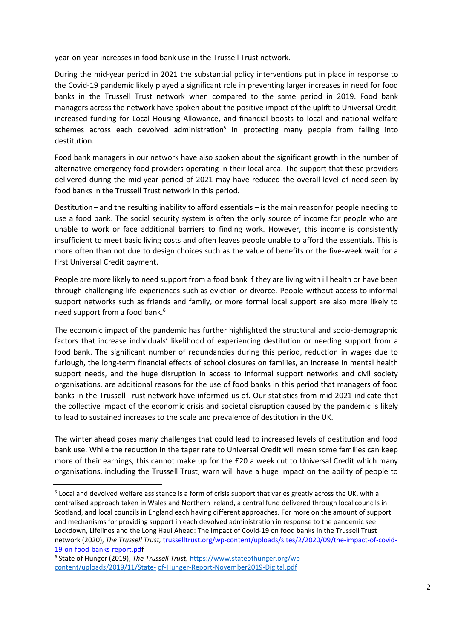year-on-year increases in food bank use in the Trussell Trust network.

During the mid-year period in 2021 the substantial policy interventions put in place in response to the Covid-19 pandemic likely played a significant role in preventing larger increases in need for food banks in the Trussell Trust network when compared to the same period in 2019. Food bank managers across the network have spoken about the positive impact of the uplift to Universal Credit, increased funding for Local Housing Allowance, and financial boosts to local and national welfare schemes across each devolved administration<sup>5</sup> in protecting many people from falling into destitution.

Food bank managers in our network have also spoken about the significant growth in the number of alternative emergency food providers operating in their local area. The support that these providers delivered during the mid-year period of 2021 may have reduced the overall level of need seen by food banks in the Trussell Trust network in this period.

Destitution – and the resulting inability to afford essentials – is the main reason for people needing to use a food bank. The social security system is often the only source of income for people who are unable to work or face additional barriers to finding work. However, this income is consistently insufficient to meet basic living costs and often leaves people unable to afford the essentials. This is more often than not due to design choices such as the value of benefits or the five-week wait for a first Universal Credit payment.

People are more likely to need support from a food bank if they are living with ill health or have been through challenging life experiences such as eviction or divorce. People without access to informal support networks such as friends and family, or more formal local support are also more likely to need support from a food bank.<sup>6</sup>

The economic impact of the pandemic has further highlighted the structural and socio-demographic factors that increase individuals' likelihood of experiencing destitution or needing support from a food bank. The significant number of redundancies during this period, reduction in wages due to furlough, the long-term financial effects of school closures on families, an increase in mental health support needs, and the huge disruption in access to informal support networks and civil society organisations, are additional reasons for the use of food banks in this period that managers of food banks in the Trussell Trust network have informed us of. Our statistics from mid-2021 indicate that the collective impact of the economic crisis and societal disruption caused by the pandemic is likely to lead to sustained increases to the scale and prevalence of destitution in the UK.

The winter ahead poses many challenges that could lead to increased levels of destitution and food bank use. While the reduction in the taper rate to Universal Credit will mean some families can keep more of their earnings, this cannot make up for the £20 a week cut to Universal Credit which many organisations, including the Trussell Trust, warn will have a huge impact on the ability of people to

<sup>&</sup>lt;sup>5</sup> Local and devolved welfare assistance is a form of crisis support that varies greatly across the UK, with a centralised approach taken in Wales and Northern Ireland, a central fund delivered through local councils in Scotland, and local councils in England each having different approaches. For more on the amount of support and mechanisms for providing support in each devolved administration in response to the pandemic see Lockdown, Lifelines and the Long Haul Ahead: The Impact of Covid-19 on food banks in the Trussell Trust network (2020), The Trussell Trust, trusselltrust.org/wp-content/uploads/sites/2/2020/09/the-impact-of-covid-19-on-food-banks-report.pdf

<sup>&</sup>lt;sup>6</sup> State of Hunger (2019), The Trussell Trust, https://www.stateofhunger.org/wpcontent/uploads/2019/11/State- of-Hunger-Report-November2019-Digital.pdf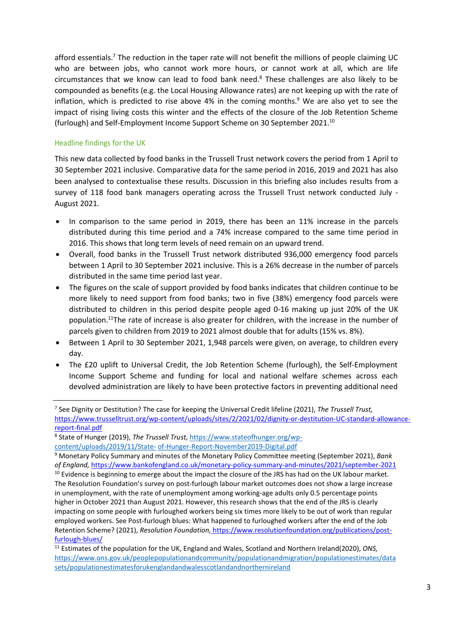afford essentials.<sup>7</sup> The reduction in the taper rate will not benefit the millions of people claiming UC who are between jobs, who cannot work more hours, or cannot work at all, which are life circumstances that we know can lead to food bank need.<sup>8</sup> These challenges are also likely to be compounded as benefits (e.g. the Local Housing Allowance rates) are not keeping up with the rate of inflation, which is predicted to rise above  $4\%$  in the coming months. $9$  We are also yet to see the impact of rising living costs this winter and the effects of the closure of the Job Retention Scheme (furlough) and Self-Employment Income Support Scheme on 30 September 2021.<sup>10</sup>

## Headline findings for the UK

This new data collected by food banks in the Trussell Trust network covers the period from 1 April to 30 September 2021 inclusive. Comparative data for the same period in 2016, 2019 and 2021 has also been analysed to contextualise these results. Discussion in this briefing also includes results from a survey of 118 food bank managers operating across the Trussell Trust network conducted July - August 2021.

- In comparison to the same period in 2019, there has been an 11% increase in the parcels distributed during this time period and a 74% increase compared to the same time period in 2016. This shows that long term levels of need remain on an upward trend.
- Overall, food banks in the Trussell Trust network distributed 936,000 emergency food parcels between 1 April to 30 September 2021 inclusive. This is a 26% decrease in the number of parcels distributed in the same time period last year.
- The figures on the scale of support provided by food banks indicates that children continue to be more likely to need support from food banks; two in five (38%) emergency food parcels were distributed to children in this period despite people aged 0-16 making up just 20% of the UK population.<sup>11</sup>The rate of increase is also greater for children, with the increase in the number of parcels given to children from 2019 to 2021 almost double that for adults (15% vs. 8%).
- Between 1 April to 30 September 2021, 1,948 parcels were given, on average, to children every day.
- The £20 uplift to Universal Credit, the Job Retention Scheme (furlough), the Self-Employment Income Support Scheme and funding for local and national welfare schemes across each devolved administration are likely to have been protective factors in preventing additional need

<sup>&</sup>lt;sup>7</sup> See Dignity or Destitution? The case for keeping the Universal Credit lifeline (2021), The Trussell Trust, https://www.trusselltrust.org/wp-content/uploads/sites/2/2021/02/dignity-or-destitution-UC-standard-allowancereport-final.pdf

<sup>&</sup>lt;sup>8</sup> State of Hunger (2019), The Trussell Trust, https://www.stateofhunger.org/wp-

content/uploads/2019/11/State- of-Hunger-Report-November2019-Digital.pdf

<sup>&</sup>lt;sup>9</sup> Monetary Policy Summary and minutes of the Monetary Policy Committee meeting (September 2021), Bank of England, https://www.bankofengland.co.uk/monetary-policy-summary-and-minutes/2021/september-2021

<sup>&</sup>lt;sup>10</sup> Evidence is beginning to emerge about the impact the closure of the JRS has had on the UK labour market. The Resolution Foundation's survey on post-furlough labour market outcomes does not show a large increase in unemployment, with the rate of unemployment among working-age adults only 0.5 percentage points higher in October 2021 than August 2021. However, this research shows that the end of the JRS is clearly impacting on some people with furloughed workers being six times more likely to be out of work than regular employed workers. See Post-furlough blues: What happened to furloughed workers after the end of the Job Retention Scheme? (2021), Resolution Foundation, https://www.resolutionfoundation.org/publications/postfurlough-blues/

<sup>&</sup>lt;sup>11</sup> Estimates of the population for the UK, England and Wales, Scotland and Northern Ireland(2020), ONS, https://www.ons.gov.uk/peoplepopulationandcommunity/populationandmigration/populationestimates/data sets/populationestimatesforukenglandandwalesscotlandandnorthernireland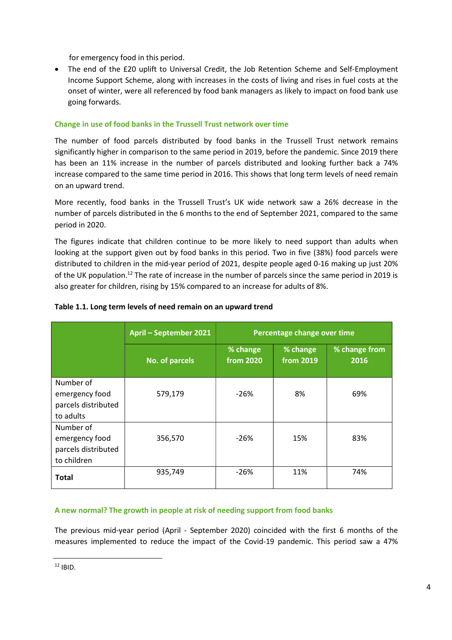for emergency food in this period.

 The end of the £20 uplift to Universal Credit, the Job Retention Scheme and Self-Employment Income Support Scheme, along with increases in the costs of living and rises in fuel costs at the onset of winter, were all referenced by food bank managers as likely to impact on food bank use going forwards.

## Change in use of food banks in the Trussell Trust network over time

The number of food parcels distributed by food banks in the Trussell Trust network remains significantly higher in comparison to the same period in 2019, before the pandemic. Since 2019 there has been an 11% increase in the number of parcels distributed and looking further back a 74% increase compared to the same time period in 2016. This shows that long term levels of need remain on an upward trend.

More recently, food banks in the Trussell Trust's UK wide network saw a 26% decrease in the number of parcels distributed in the 6 months to the end of September 2021, compared to the same period in 2020.

The figures indicate that children continue to be more likely to need support than adults when looking at the support given out by food banks in this period. Two in five (38%) food parcels were distributed to children in the mid-year period of 2021, despite people aged 0-16 making up just 20% of the UK population.<sup>12</sup> The rate of increase in the number of parcels since the same period in 2019 is also greater for children, rising by 15% compared to an increase for adults of 8%.

|                                                                   | April - September 2021 | Percentage change over time  |                       |                       |
|-------------------------------------------------------------------|------------------------|------------------------------|-----------------------|-----------------------|
|                                                                   | No. of parcels         | % change<br><b>from 2020</b> | % change<br>from 2019 | % change from<br>2016 |
| Number of<br>emergency food<br>parcels distributed<br>to adults   | 579,179                | $-26%$                       | 8%                    | 69%                   |
| Number of<br>emergency food<br>parcels distributed<br>to children | 356,570                | $-26%$                       | 15%                   | 83%                   |
| <b>Total</b>                                                      | 935,749                | $-26%$                       | 11%                   | 74%                   |

## Table 1.1. Long term levels of need remain on an upward trend

## A new normal? The growth in people at risk of needing support from food banks

The previous mid-year period (April - September 2020) coincided with the first 6 months of the measures implemented to reduce the impact of the Covid-19 pandemic. This period saw a 47%

<sup>12</sup> IBID.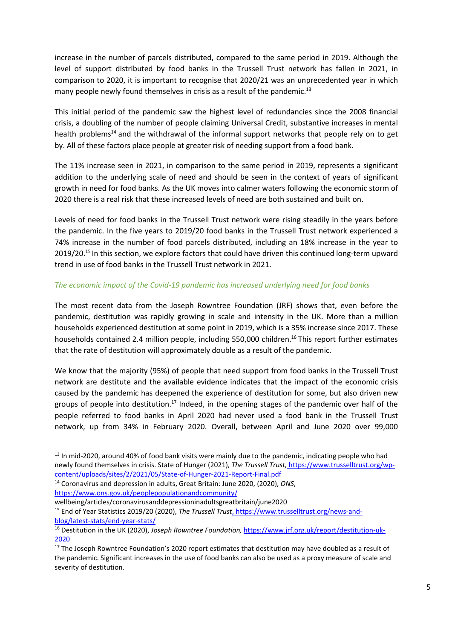increase in the number of parcels distributed, compared to the same period in 2019. Although the level of support distributed by food banks in the Trussell Trust network has fallen in 2021, in comparison to 2020, it is important to recognise that 2020/21 was an unprecedented year in which many people newly found themselves in crisis as a result of the pandemic. $^{13}$ 

This initial period of the pandemic saw the highest level of redundancies since the 2008 financial crisis, a doubling of the number of people claiming Universal Credit, substantive increases in mental health problems<sup>14</sup> and the withdrawal of the informal support networks that people rely on to get by. All of these factors place people at greater risk of needing support from a food bank.

The 11% increase seen in 2021, in comparison to the same period in 2019, represents a significant addition to the underlying scale of need and should be seen in the context of years of significant growth in need for food banks. As the UK moves into calmer waters following the economic storm of 2020 there is a real risk that these increased levels of need are both sustained and built on.

Levels of need for food banks in the Trussell Trust network were rising steadily in the years before the pandemic. In the five years to 2019/20 food banks in the Trussell Trust network experienced a 74% increase in the number of food parcels distributed, including an 18% increase in the year to  $2019/20$ .<sup>15</sup> In this section, we explore factors that could have driven this continued long-term upward trend in use of food banks in the Trussell Trust network in 2021.

## The economic impact of the Covid-19 pandemic has increased underlying need for food banks

The most recent data from the Joseph Rowntree Foundation (JRF) shows that, even before the pandemic, destitution was rapidly growing in scale and intensity in the UK. More than a million households experienced destitution at some point in 2019, which is a 35% increase since 2017. These households contained 2.4 million people, including 550,000 children.<sup>16</sup> This report further estimates that the rate of destitution will approximately double as a result of the pandemic.

We know that the majority (95%) of people that need support from food banks in the Trussell Trust network are destitute and the available evidence indicates that the impact of the economic crisis caused by the pandemic has deepened the experience of destitution for some, but also driven new groups of people into destitution.<sup>17</sup> Indeed, in the opening stages of the pandemic over half of the people referred to food banks in April 2020 had never used a food bank in the Trussell Trust network, up from 34% in February 2020. Overall, between April and June 2020 over 99,000

wellbeing/articles/coronavirusanddepressioninadultsgreatbritain/june2020

<sup>&</sup>lt;sup>13</sup> In mid-2020, around 40% of food bank visits were mainly due to the pandemic, indicating people who had newly found themselves in crisis. State of Hunger (2021), The Trussell Trust, https://www.trusselltrust.org/wpcontent/uploads/sites/2/2021/05/State-of-Hunger-2021-Report-Final.pdf

<sup>&</sup>lt;sup>14</sup> Coronavirus and depression in adults, Great Britain: June 2020, (2020), ONS, https://www.ons.gov.uk/peoplepopulationandcommunity/

<sup>&</sup>lt;sup>15</sup> End of Year Statistics 2019/20 (2020), The Trussell Trust, https://www.trusselltrust.org/news-andblog/latest-stats/end-year-stats/

<sup>&</sup>lt;sup>16</sup> Destitution in the UK (2020), Joseph Rowntree Foundation, https://www.jrf.org.uk/report/destitution-uk-2020

<sup>&</sup>lt;sup>17</sup> The Joseph Rowntree Foundation's 2020 report estimates that destitution may have doubled as a result of the pandemic. Significant increases in the use of food banks can also be used as a proxy measure of scale and severity of destitution.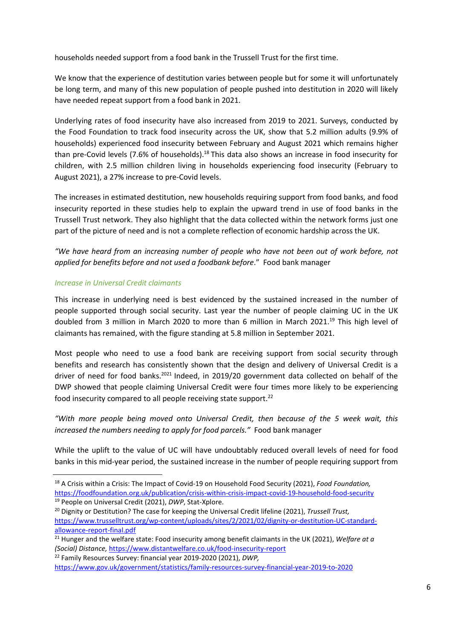households needed support from a food bank in the Trussell Trust for the first time.

We know that the experience of destitution varies between people but for some it will unfortunately be long term, and many of this new population of people pushed into destitution in 2020 will likely have needed repeat support from a food bank in 2021.

Underlying rates of food insecurity have also increased from 2019 to 2021. Surveys, conducted by the Food Foundation to track food insecurity across the UK, show that 5.2 million adults (9.9% of households) experienced food insecurity between February and August 2021 which remains higher than pre-Covid levels (7.6% of households).<sup>18</sup> This data also shows an increase in food insecurity for children, with 2.5 million children living in households experiencing food insecurity (February to August 2021), a 27% increase to pre-Covid levels.

The increases in estimated destitution, new households requiring support from food banks, and food insecurity reported in these studies help to explain the upward trend in use of food banks in the Trussell Trust network. They also highlight that the data collected within the network forms just one part of the picture of need and is not a complete reflection of economic hardship across the UK.

"We have heard from an increasing number of people who have not been out of work before, not applied for benefits before and not used a foodbank before." Food bank manager

## Increase in Universal Credit claimants

This increase in underlying need is best evidenced by the sustained increased in the number of people supported through social security. Last year the number of people claiming UC in the UK doubled from 3 million in March 2020 to more than 6 million in March 2021.<sup>19</sup> This high level of claimants has remained, with the figure standing at 5.8 million in September 2021.

Most people who need to use a food bank are receiving support from social security through benefits and research has consistently shown that the design and delivery of Universal Credit is a driver of need for food banks.<sup>2021</sup> Indeed, in 2019/20 government data collected on behalf of the DWP showed that people claiming Universal Credit were four times more likely to be experiencing food insecurity compared to all people receiving state support.<sup>22</sup>

"With more people being moved onto Universal Credit, then because of the 5 week wait, this increased the numbers needing to apply for food parcels." Food bank manager

While the uplift to the value of UC will have undoubtably reduced overall levels of need for food banks in this mid-year period, the sustained increase in the number of people requiring support from

<sup>19</sup> People on Universal Credit (2021), DWP, Stat-Xplore.

<sup>&</sup>lt;sup>18</sup> A Crisis within a Crisis: The Impact of Covid-19 on Household Food Security (2021), Food Foundation, https://foodfoundation.org.uk/publication/crisis-within-crisis-impact-covid-19-household-food-security

<sup>&</sup>lt;sup>20</sup> Dignity or Destitution? The case for keeping the Universal Credit lifeline (2021), Trussell Trust, https://www.trusselltrust.org/wp-content/uploads/sites/2/2021/02/dignity-or-destitution-UC-standardallowance-report-final.pdf

 $\frac{21}{21}$  Hunger and the welfare state: Food insecurity among benefit claimants in the UK (2021), Welfare at a (Social) Distance, https://www.distantwelfare.co.uk/food-insecurity-report

<sup>&</sup>lt;sup>22</sup> Family Resources Survey: financial year 2019-2020 (2021), DWP, https://www.gov.uk/government/statistics/family-resources-survey-financial-year-2019-to-2020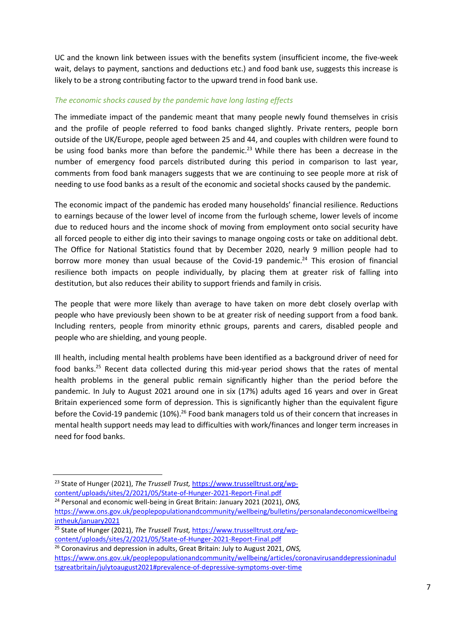UC and the known link between issues with the benefits system (insufficient income, the five-week wait, delays to payment, sanctions and deductions etc.) and food bank use, suggests this increase is likely to be a strong contributing factor to the upward trend in food bank use.

#### The economic shocks caused by the pandemic have long lasting effects

The immediate impact of the pandemic meant that many people newly found themselves in crisis and the profile of people referred to food banks changed slightly. Private renters, people born outside of the UK/Europe, people aged between 25 and 44, and couples with children were found to be using food banks more than before the pandemic.<sup>23</sup> While there has been a decrease in the number of emergency food parcels distributed during this period in comparison to last year, comments from food bank managers suggests that we are continuing to see people more at risk of needing to use food banks as a result of the economic and societal shocks caused by the pandemic.

The economic impact of the pandemic has eroded many households' financial resilience. Reductions to earnings because of the lower level of income from the furlough scheme, lower levels of income due to reduced hours and the income shock of moving from employment onto social security have all forced people to either dig into their savings to manage ongoing costs or take on additional debt. The Office for National Statistics found that by December 2020, nearly 9 million people had to borrow more money than usual because of the Covid-19 pandemic.<sup>24</sup> This erosion of financial resilience both impacts on people individually, by placing them at greater risk of falling into destitution, but also reduces their ability to support friends and family in crisis.

The people that were more likely than average to have taken on more debt closely overlap with people who have previously been shown to be at greater risk of needing support from a food bank. Including renters, people from minority ethnic groups, parents and carers, disabled people and people who are shielding, and young people.

Ill health, including mental health problems have been identified as a background driver of need for food banks.<sup>25</sup> Recent data collected during this mid-year period shows that the rates of mental health problems in the general public remain significantly higher than the period before the pandemic. In July to August 2021 around one in six (17%) adults aged 16 years and over in Great Britain experienced some form of depression. This is significantly higher than the equivalent figure before the Covid-19 pandemic (10%).<sup>26</sup> Food bank managers told us of their concern that increases in mental health support needs may lead to difficulties with work/finances and longer term increases in need for food banks.

<sup>&</sup>lt;sup>23</sup> State of Hunger (2021), The Trussell Trust, https://www.trusselltrust.org/wpcontent/uploads/sites/2/2021/05/State-of-Hunger-2021-Report-Final.pdf

<sup>&</sup>lt;sup>24</sup> Personal and economic well-being in Great Britain: January 2021 (2021), ONS, https://www.ons.gov.uk/peoplepopulationandcommunity/wellbeing/bulletins/personalandeconomicwellbeing intheuk/january2021

<sup>&</sup>lt;sup>25</sup> State of Hunger (2021), The Trussell Trust, https://www.trusselltrust.org/wpcontent/uploads/sites/2/2021/05/State-of-Hunger-2021-Report-Final.pdf

<sup>&</sup>lt;sup>26</sup> Coronavirus and depression in adults, Great Britain: July to August 2021, ONS, https://www.ons.gov.uk/peoplepopulationandcommunity/wellbeing/articles/coronavirusanddepressioninadul tsgreatbritain/julytoaugust2021#prevalence-of-depressive-symptoms-over-time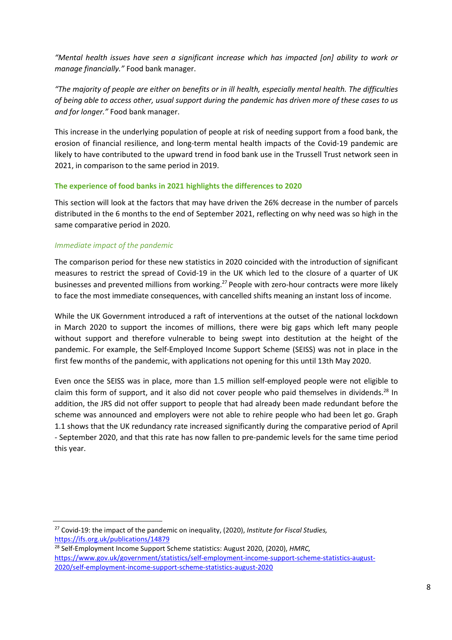"Mental health issues have seen a significant increase which has impacted [on] ability to work or manage financially." Food bank manager.

"The majority of people are either on benefits or in ill health, especially mental health. The difficulties of being able to access other, usual support during the pandemic has driven more of these cases to us and for longer." Food bank manager.

This increase in the underlying population of people at risk of needing support from a food bank, the erosion of financial resilience, and long-term mental health impacts of the Covid-19 pandemic are likely to have contributed to the upward trend in food bank use in the Trussell Trust network seen in 2021, in comparison to the same period in 2019.

#### The experience of food banks in 2021 highlights the differences to 2020

This section will look at the factors that may have driven the 26% decrease in the number of parcels distributed in the 6 months to the end of September 2021, reflecting on why need was so high in the same comparative period in 2020.

## Immediate impact of the pandemic

The comparison period for these new statistics in 2020 coincided with the introduction of significant measures to restrict the spread of Covid-19 in the UK which led to the closure of a quarter of UK businesses and prevented millions from working.<sup>27</sup> People with zero-hour contracts were more likely to face the most immediate consequences, with cancelled shifts meaning an instant loss of income.

While the UK Government introduced a raft of interventions at the outset of the national lockdown in March 2020 to support the incomes of millions, there were big gaps which left many people without support and therefore vulnerable to being swept into destitution at the height of the pandemic. For example, the Self-Employed Income Support Scheme (SEISS) was not in place in the first few months of the pandemic, with applications not opening for this until 13th May 2020.

Even once the SEISS was in place, more than 1.5 million self-employed people were not eligible to claim this form of support, and it also did not cover people who paid themselves in dividends.<sup>28</sup> In addition, the JRS did not offer support to people that had already been made redundant before the scheme was announced and employers were not able to rehire people who had been let go. Graph 1.1 shows that the UK redundancy rate increased significantly during the comparative period of April - September 2020, and that this rate has now fallen to pre-pandemic levels for the same time period this year.

<sup>28</sup> Self-Employment Income Support Scheme statistics: August 2020, (2020), HMRC, https://www.gov.uk/government/statistics/self-employment-income-support-scheme-statistics-august-2020/self-employment-income-support-scheme-statistics-august-2020

 $27$  Covid-19: the impact of the pandemic on inequality, (2020), Institute for Fiscal Studies, https://ifs.org.uk/publications/14879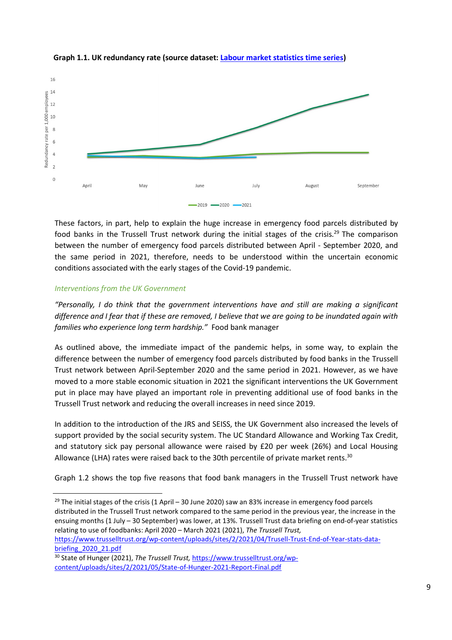



These factors, in part, help to explain the huge increase in emergency food parcels distributed by food banks in the Trussell Trust network during the initial stages of the crisis.<sup>29</sup> The comparison between the number of emergency food parcels distributed between April - September 2020, and the same period in 2021, therefore, needs to be understood within the uncertain economic conditions associated with the early stages of the Covid-19 pandemic.

## Interventions from the UK Government

"Personally, I do think that the government interventions have and still are making a significant difference and I fear that if these are removed, I believe that we are going to be inundated again with families who experience long term hardship." Food bank manager

As outlined above, the immediate impact of the pandemic helps, in some way, to explain the difference between the number of emergency food parcels distributed by food banks in the Trussell Trust network between April-September 2020 and the same period in 2021. However, as we have moved to a more stable economic situation in 2021 the significant interventions the UK Government put in place may have played an important role in preventing additional use of food banks in the Trussell Trust network and reducing the overall increases in need since 2019.

In addition to the introduction of the JRS and SEISS, the UK Government also increased the levels of support provided by the social security system. The UC Standard Allowance and Working Tax Credit, and statutory sick pay personal allowance were raised by £20 per week (26%) and Local Housing Allowance (LHA) rates were raised back to the 30th percentile of private market rents.<sup>30</sup>

Graph 1.2 shows the top five reasons that food bank managers in the Trussell Trust network have

<sup>29</sup> The initial stages of the crisis (1 April – 30 June 2020) saw an 83% increase in emergency food parcels distributed in the Trussell Trust network compared to the same period in the previous year, the increase in the ensuing months (1 July – 30 September) was lower, at 13%. Trussell Trust data briefing on end-of-year statistics relating to use of foodbanks: April 2020 – March 2021 (2021), The Trussell Trust, https://www.trusselltrust.org/wp-content/uploads/sites/2/2021/04/Trusell-Trust-End-of-Year-stats-data-

briefing\_2020\_21.pdf <sup>30</sup> State of Hunger (2021), The Trussell Trust, https://www.trusselltrust.org/wpcontent/uploads/sites/2/2021/05/State-of-Hunger-2021-Report-Final.pdf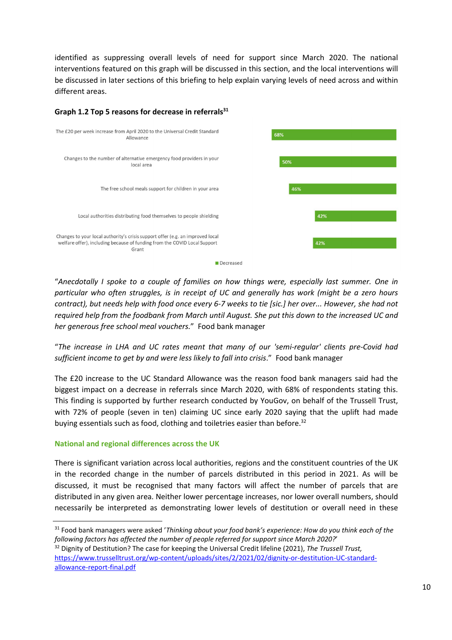identified as suppressing overall levels of need for support since March 2020. The national interventions featured on this graph will be discussed in this section, and the local interventions will be discussed in later sections of this briefing to help explain varying levels of need across and within different areas.



## Graph 1.2 Top 5 reasons for decrease in referrals $31$

"Anecdotally I spoke to a couple of families on how things were, especially last summer. One in particular who often struggles, is in receipt of UC and generally has work (might be a zero hours contract), but needs help with food once every 6-7 weeks to tie [sic.] her over... However, she had not required help from the foodbank from March until August. She put this down to the increased UC and her generous free school meal vouchers." Food bank manager

"The increase in LHA and UC rates meant that many of our 'semi-regular' clients pre-Covid had sufficient income to get by and were less likely to fall into crisis." Food bank manager

The £20 increase to the UC Standard Allowance was the reason food bank managers said had the biggest impact on a decrease in referrals since March 2020, with 68% of respondents stating this. This finding is supported by further research conducted by YouGov, on behalf of the Trussell Trust, with 72% of people (seven in ten) claiming UC since early 2020 saying that the uplift had made buying essentials such as food, clothing and toiletries easier than before.<sup>32</sup>

## National and regional differences across the UK

There is significant variation across local authorities, regions and the constituent countries of the UK in the recorded change in the number of parcels distributed in this period in 2021. As will be discussed, it must be recognised that many factors will affect the number of parcels that are distributed in any given area. Neither lower percentage increases, nor lower overall numbers, should necessarily be interpreted as demonstrating lower levels of destitution or overall need in these

<sup>31</sup> Food bank managers were asked 'Thinking about your food bank's experience: How do you think each of the following factors has affected the number of people referred for support since March 2020?' <sup>32</sup> Dignity of Destitution? The case for keeping the Universal Credit lifeline (2021), The Trussell Trust, https://www.trusselltrust.org/wp-content/uploads/sites/2/2021/02/dignity-or-destitution-UC-standardallowance-report-final.pdf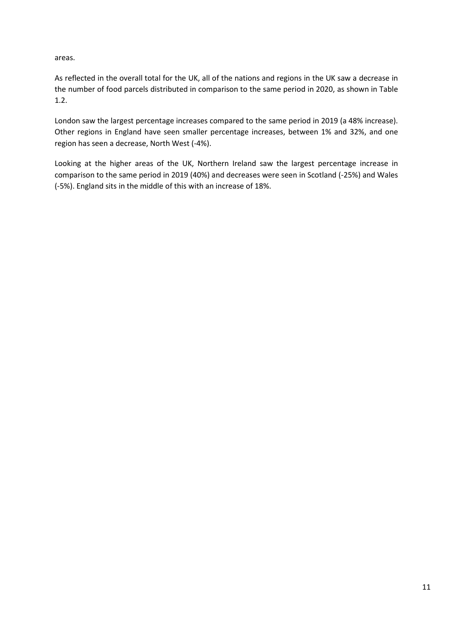areas.

As reflected in the overall total for the UK, all of the nations and regions in the UK saw a decrease in the number of food parcels distributed in comparison to the same period in 2020, as shown in Table 1.2.

London saw the largest percentage increases compared to the same period in 2019 (a 48% increase). Other regions in England have seen smaller percentage increases, between 1% and 32%, and one region has seen a decrease, North West (-4%).

Looking at the higher areas of the UK, Northern Ireland saw the largest percentage increase in comparison to the same period in 2019 (40%) and decreases were seen in Scotland (-25%) and Wales (-5%). England sits in the middle of this with an increase of 18%.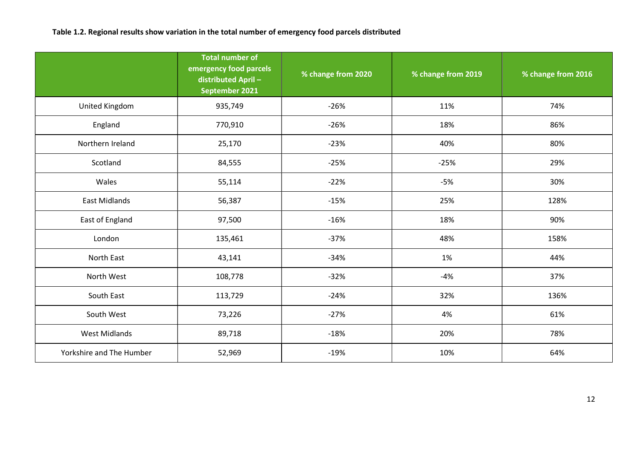## Table 1.2. Regional results show variation in the total number of emergency food parcels distributed

|                          | <b>Total number of</b><br>emergency food parcels<br>distributed April-<br>September 2021 | % change from 2020 | % change from 2019 | % change from 2016 |
|--------------------------|------------------------------------------------------------------------------------------|--------------------|--------------------|--------------------|
| United Kingdom           | 935,749                                                                                  | $-26%$             | 11%                | 74%                |
| England                  | 770,910                                                                                  | $-26%$             | 18%                | 86%                |
| Northern Ireland         | 25,170                                                                                   | $-23%$             | 40%                | 80%                |
| Scotland                 | 84,555                                                                                   | $-25%$             | $-25%$             | 29%                |
| Wales                    | 55,114                                                                                   | $-22%$             | $-5%$              | 30%                |
| East Midlands            | 56,387                                                                                   | $-15%$             | 25%                | 128%               |
| East of England          | 97,500                                                                                   | $-16%$             | 18%                | 90%                |
| London                   | 135,461                                                                                  | $-37%$             | 48%                | 158%               |
| North East               | 43,141                                                                                   | $-34%$             | 1%                 | 44%                |
| North West               | 108,778                                                                                  | $-32%$             | $-4%$              | 37%                |
| South East               | 113,729                                                                                  | $-24%$             | 32%                | 136%               |
| South West               | 73,226                                                                                   | $-27%$             | 4%                 | 61%                |
| <b>West Midlands</b>     | 89,718                                                                                   | $-18%$             | 20%                | 78%                |
| Yorkshire and The Humber | 52,969                                                                                   | $-19%$             | 10%                | 64%                |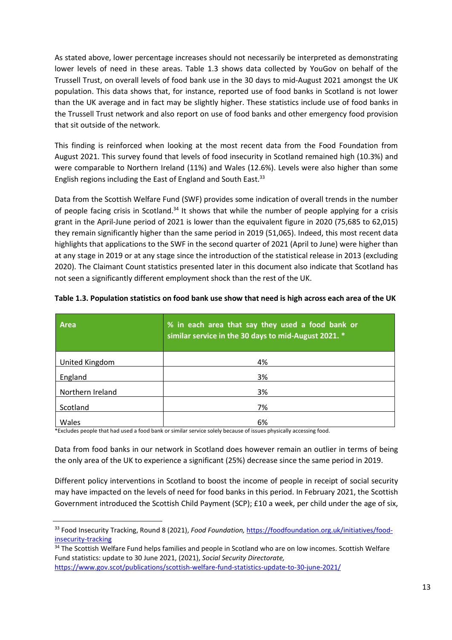As stated above, lower percentage increases should not necessarily be interpreted as demonstrating lower levels of need in these areas. Table 1.3 shows data collected by YouGov on behalf of the Trussell Trust, on overall levels of food bank use in the 30 days to mid-August 2021 amongst the UK population. This data shows that, for instance, reported use of food banks in Scotland is not lower than the UK average and in fact may be slightly higher. These statistics include use of food banks in the Trussell Trust network and also report on use of food banks and other emergency food provision that sit outside of the network.

This finding is reinforced when looking at the most recent data from the Food Foundation from August 2021. This survey found that levels of food insecurity in Scotland remained high (10.3%) and were comparable to Northern Ireland (11%) and Wales (12.6%). Levels were also higher than some English regions including the East of England and South East.<sup>33</sup>

Data from the Scottish Welfare Fund (SWF) provides some indication of overall trends in the number of people facing crisis in Scotland.<sup>34</sup> It shows that while the number of people applying for a crisis grant in the April-June period of 2021 is lower than the equivalent figure in 2020 (75,685 to 62,015) they remain significantly higher than the same period in 2019 (51,065). Indeed, this most recent data highlights that applications to the SWF in the second quarter of 2021 (April to June) were higher than at any stage in 2019 or at any stage since the introduction of the statistical release in 2013 (excluding 2020). The Claimant Count statistics presented later in this document also indicate that Scotland has not seen a significantly different employment shock than the rest of the UK.

| <b>Area</b>      | % in each area that say they used a food bank or<br>similar service in the 30 days to mid-August 2021. * |
|------------------|----------------------------------------------------------------------------------------------------------|
| United Kingdom   | 4%                                                                                                       |
| England          | 3%                                                                                                       |
| Northern Ireland | 3%                                                                                                       |
| Scotland         | 7%                                                                                                       |
| Wales            | 6%                                                                                                       |

Table 1.3. Population statistics on food bank use show that need is high across each area of the UK

\*Excludes people that had used a food bank or similar service solely because of issues physically accessing food.

Data from food banks in our network in Scotland does however remain an outlier in terms of being the only area of the UK to experience a significant (25%) decrease since the same period in 2019.

Different policy interventions in Scotland to boost the income of people in receipt of social security may have impacted on the levels of need for food banks in this period. In February 2021, the Scottish Government introduced the Scottish Child Payment (SCP); £10 a week, per child under the age of six,

<sup>33</sup> Food Insecurity Tracking, Round 8 (2021), Food Foundation, https://foodfoundation.org.uk/initiatives/foodinsecurity-tracking

<sup>&</sup>lt;sup>34</sup> The Scottish Welfare Fund helps families and people in Scotland who are on low incomes. Scottish Welfare Fund statistics: update to 30 June 2021, (2021), Social Security Directorate,

https://www.gov.scot/publications/scottish-welfare-fund-statistics-update-to-30-june-2021/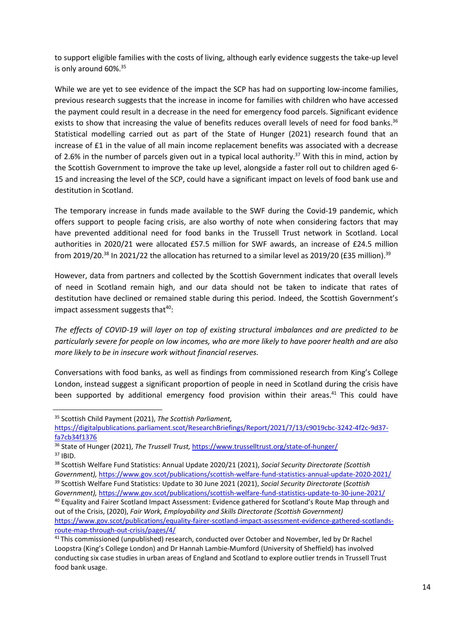to support eligible families with the costs of living, although early evidence suggests the take-up level is only around 60%.<sup>35</sup>

While we are yet to see evidence of the impact the SCP has had on supporting low-income families. previous research suggests that the increase in income for families with children who have accessed the payment could result in a decrease in the need for emergency food parcels. Significant evidence exists to show that increasing the value of benefits reduces overall levels of need for food banks.<sup>36</sup> Statistical modelling carried out as part of the State of Hunger (2021) research found that an increase of £1 in the value of all main income replacement benefits was associated with a decrease of 2.6% in the number of parcels given out in a typical local authority.<sup>37</sup> With this in mind, action by the Scottish Government to improve the take up level, alongside a faster roll out to children aged 6- 15 and increasing the level of the SCP, could have a significant impact on levels of food bank use and destitution in Scotland.

The temporary increase in funds made available to the SWF during the Covid-19 pandemic, which offers support to people facing crisis, are also worthy of note when considering factors that may have prevented additional need for food banks in the Trussell Trust network in Scotland. Local authorities in 2020/21 were allocated £57.5 million for SWF awards, an increase of £24.5 million from 2019/20.<sup>38</sup> In 2021/22 the allocation has returned to a similar level as 2019/20 (£35 million).<sup>39</sup>

However, data from partners and collected by the Scottish Government indicates that overall levels of need in Scotland remain high, and our data should not be taken to indicate that rates of destitution have declined or remained stable during this period. Indeed, the Scottish Government's impact assessment suggests that $40$ :

The effects of COVID-19 will layer on top of existing structural imbalances and are predicted to be particularly severe for people on low incomes, who are more likely to have poorer health and are also more likely to be in insecure work without financial reserves.

Conversations with food banks, as well as findings from commissioned research from King's College London, instead suggest a significant proportion of people in need in Scotland during the crisis have been supported by additional emergency food provision within their areas.<sup>41</sup> This could have

<sup>&</sup>lt;sup>35</sup> Scottish Child Payment (2021), The Scottish Parliament,

https://digitalpublications.parliament.scot/ResearchBriefings/Report/2021/7/13/c9019cbc-3242-4f2c-9d37 fa7cb34f1376

<sup>36</sup> State of Hunger (2021), The Trussell Trust, https://www.trusselltrust.org/state-of-hunger/ <sup>37</sup> IBID.

<sup>&</sup>lt;sup>38</sup> Scottish Welfare Fund Statistics: Annual Update 2020/21 (2021), Social Security Directorate (Scottish Government), https://www.gov.scot/publications/scottish-welfare-fund-statistics-annual-update-2020-2021/ <sup>39</sup> Scottish Welfare Fund Statistics: Update to 30 June 2021 (2021), Social Security Directorate (Scottish

Government), https://www.gov.scot/publications/scottish-welfare-fund-statistics-update-to-30-june-2021/

<sup>40</sup> Equality and Fairer Scotland Impact Assessment: Evidence gathered for Scotland's Route Map through and out of the Crisis, (2020), Fair Work, Employability and Skills Directorate (Scottish Government) https://www.gov.scot/publications/equality-fairer-scotland-impact-assessment-evidence-gathered-scotlandsroute-map-through-out-crisis/pages/4/

<sup>&</sup>lt;sup>41</sup> This commissioned (unpublished) research, conducted over October and November, led by Dr Rachel Loopstra (King's College London) and Dr Hannah Lambie-Mumford (University of Sheffield) has involved conducting six case studies in urban areas of England and Scotland to explore outlier trends in Trussell Trust food bank usage.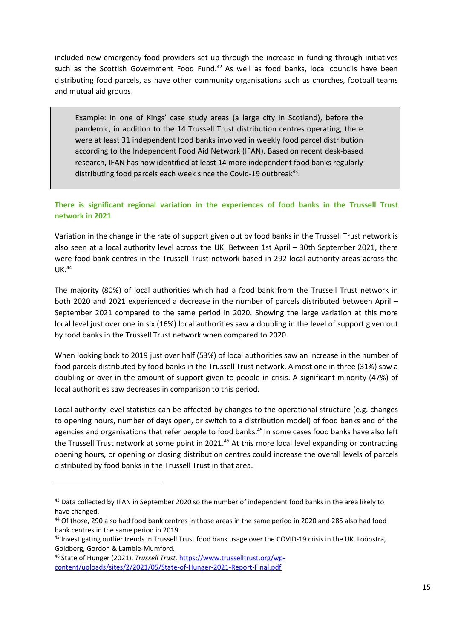included new emergency food providers set up through the increase in funding through initiatives such as the Scottish Government Food Fund.<sup>42</sup> As well as food banks, local councils have been distributing food parcels, as have other community organisations such as churches, football teams and mutual aid groups.

Example: In one of Kings' case study areas (a large city in Scotland), before the pandemic, in addition to the 14 Trussell Trust distribution centres operating, there were at least 31 independent food banks involved in weekly food parcel distribution according to the Independent Food Aid Network (IFAN). Based on recent desk-based research, IFAN has now identified at least 14 more independent food banks regularly distributing food parcels each week since the Covid-19 outbreak<sup>43</sup>.

## There is significant regional variation in the experiences of food banks in the Trussell Trust network in 2021

Variation in the change in the rate of support given out by food banks in the Trussell Trust network is also seen at a local authority level across the UK. Between 1st April – 30th September 2021, there were food bank centres in the Trussell Trust network based in 292 local authority areas across the UK.<sup>44</sup>

The majority (80%) of local authorities which had a food bank from the Trussell Trust network in both 2020 and 2021 experienced a decrease in the number of parcels distributed between April – September 2021 compared to the same period in 2020. Showing the large variation at this more local level just over one in six (16%) local authorities saw a doubling in the level of support given out by food banks in the Trussell Trust network when compared to 2020.

When looking back to 2019 just over half (53%) of local authorities saw an increase in the number of food parcels distributed by food banks in the Trussell Trust network. Almost one in three (31%) saw a doubling or over in the amount of support given to people in crisis. A significant minority (47%) of local authorities saw decreases in comparison to this period.

Local authority level statistics can be affected by changes to the operational structure (e.g. changes to opening hours, number of days open, or switch to a distribution model) of food banks and of the agencies and organisations that refer people to food banks.<sup>45</sup> In some cases food banks have also left the Trussell Trust network at some point in 2021.<sup>46</sup> At this more local level expanding or contracting opening hours, or opening or closing distribution centres could increase the overall levels of parcels distributed by food banks in the Trussell Trust in that area.

<sup>43</sup> Data collected by IFAN in September 2020 so the number of independent food banks in the area likely to have changed.

<sup>44</sup> Of those, 290 also had food bank centres in those areas in the same period in 2020 and 285 also had food bank centres in the same period in 2019.

<sup>&</sup>lt;sup>45</sup> Investigating outlier trends in Trussell Trust food bank usage over the COVID-19 crisis in the UK. Loopstra, Goldberg, Gordon & Lambie-Mumford.

<sup>46</sup> State of Hunger (2021), Trussell Trust, https://www.trusselltrust.org/wpcontent/uploads/sites/2/2021/05/State-of-Hunger-2021-Report-Final.pdf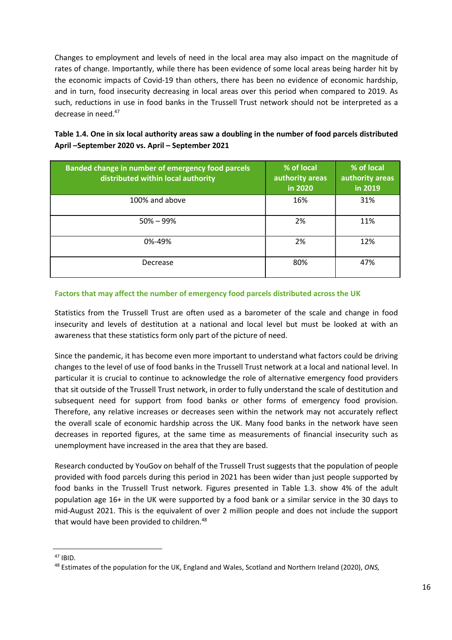Changes to employment and levels of need in the local area may also impact on the magnitude of rates of change. Importantly, while there has been evidence of some local areas being harder hit by the economic impacts of Covid-19 than others, there has been no evidence of economic hardship, and in turn, food insecurity decreasing in local areas over this period when compared to 2019. As such, reductions in use in food banks in the Trussell Trust network should not be interpreted as a decrease in need.<sup>47</sup>

Table 1.4. One in six local authority areas saw a doubling in the number of food parcels distributed April –September 2020 vs. April – September 2021

| Banded change in number of emergency food parcels<br>distributed within local authority | % of local<br>authority areas<br>in 2020 | % of local<br>authority areas<br>in 2019 |
|-----------------------------------------------------------------------------------------|------------------------------------------|------------------------------------------|
| 100% and above                                                                          | 16%                                      | 31%                                      |
| $50\% - 99\%$                                                                           | 2%                                       | 11%                                      |
| 0%-49%                                                                                  | 2%                                       | 12%                                      |
| Decrease                                                                                | 80%                                      | 47%                                      |

## Factors that may affect the number of emergency food parcels distributed across the UK

Statistics from the Trussell Trust are often used as a barometer of the scale and change in food insecurity and levels of destitution at a national and local level but must be looked at with an awareness that these statistics form only part of the picture of need.

Since the pandemic, it has become even more important to understand what factors could be driving changes to the level of use of food banks in the Trussell Trust network at a local and national level. In particular it is crucial to continue to acknowledge the role of alternative emergency food providers that sit outside of the Trussell Trust network, in order to fully understand the scale of destitution and subsequent need for support from food banks or other forms of emergency food provision. Therefore, any relative increases or decreases seen within the network may not accurately reflect the overall scale of economic hardship across the UK. Many food banks in the network have seen decreases in reported figures, at the same time as measurements of financial insecurity such as unemployment have increased in the area that they are based.

Research conducted by YouGov on behalf of the Trussell Trust suggests that the population of people provided with food parcels during this period in 2021 has been wider than just people supported by food banks in the Trussell Trust network. Figures presented in Table 1.3. show 4% of the adult population age 16+ in the UK were supported by a food bank or a similar service in the 30 days to mid-August 2021. This is the equivalent of over 2 million people and does not include the support that would have been provided to children.<sup>48</sup>

 $47$  IBID.

<sup>48</sup> Estimates of the population for the UK, England and Wales, Scotland and Northern Ireland (2020), ONS,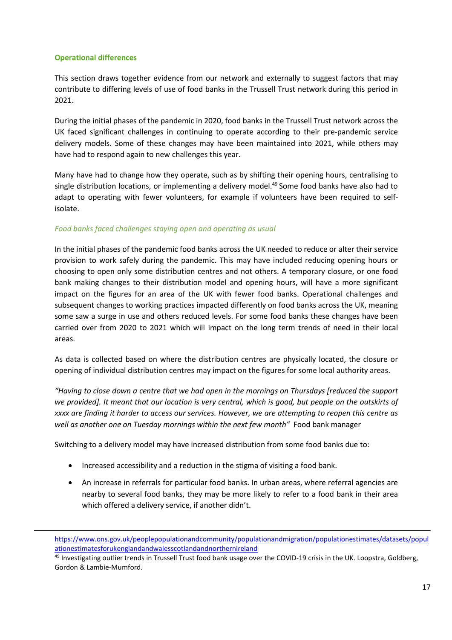#### Operational differences

This section draws together evidence from our network and externally to suggest factors that may contribute to differing levels of use of food banks in the Trussell Trust network during this period in 2021.

During the initial phases of the pandemic in 2020, food banks in the Trussell Trust network across the UK faced significant challenges in continuing to operate according to their pre-pandemic service delivery models. Some of these changes may have been maintained into 2021, while others may have had to respond again to new challenges this year.

Many have had to change how they operate, such as by shifting their opening hours, centralising to single distribution locations, or implementing a delivery model.<sup>49</sup> Some food banks have also had to adapt to operating with fewer volunteers, for example if volunteers have been required to selfisolate.

## Food banks faced challenges staying open and operating as usual

In the initial phases of the pandemic food banks across the UK needed to reduce or alter their service provision to work safely during the pandemic. This may have included reducing opening hours or choosing to open only some distribution centres and not others. A temporary closure, or one food bank making changes to their distribution model and opening hours, will have a more significant impact on the figures for an area of the UK with fewer food banks. Operational challenges and subsequent changes to working practices impacted differently on food banks across the UK, meaning some saw a surge in use and others reduced levels. For some food banks these changes have been carried over from 2020 to 2021 which will impact on the long term trends of need in their local areas.

As data is collected based on where the distribution centres are physically located, the closure or opening of individual distribution centres may impact on the figures for some local authority areas.

"Having to close down a centre that we had open in the mornings on Thursdays [reduced the support we provided]. It meant that our location is very central, which is good, but people on the outskirts of xxxx are finding it harder to access our services. However, we are attempting to reopen this centre as well as another one on Tuesday mornings within the next few month" Food bank manager

Switching to a delivery model may have increased distribution from some food banks due to:

- Increased accessibility and a reduction in the stigma of visiting a food bank.
- An increase in referrals for particular food banks. In urban areas, where referral agencies are nearby to several food banks, they may be more likely to refer to a food bank in their area which offered a delivery service, if another didn't.

https://www.ons.gov.uk/peoplepopulationandcommunity/populationandmigration/populationestimates/datasets/popul ationestimatesforukenglandandwalesscotlandandnorthernireland

<sup>&</sup>lt;sup>49</sup> Investigating outlier trends in Trussell Trust food bank usage over the COVID-19 crisis in the UK. Loopstra, Goldberg, Gordon & Lambie-Mumford.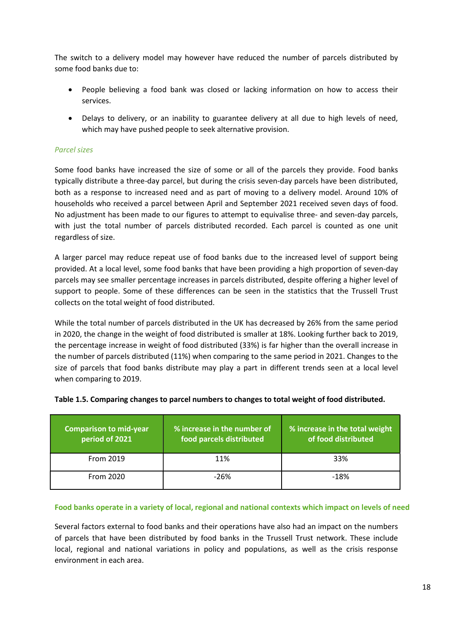The switch to a delivery model may however have reduced the number of parcels distributed by some food banks due to:

- People believing a food bank was closed or lacking information on how to access their services.
- Delays to delivery, or an inability to guarantee delivery at all due to high levels of need, which may have pushed people to seek alternative provision.

#### Parcel sizes

Some food banks have increased the size of some or all of the parcels they provide. Food banks typically distribute a three-day parcel, but during the crisis seven-day parcels have been distributed, both as a response to increased need and as part of moving to a delivery model. Around 10% of households who received a parcel between April and September 2021 received seven days of food. No adjustment has been made to our figures to attempt to equivalise three- and seven-day parcels, with just the total number of parcels distributed recorded. Each parcel is counted as one unit regardless of size.

A larger parcel may reduce repeat use of food banks due to the increased level of support being provided. At a local level, some food banks that have been providing a high proportion of seven-day parcels may see smaller percentage increases in parcels distributed, despite offering a higher level of support to people. Some of these differences can be seen in the statistics that the Trussell Trust collects on the total weight of food distributed.

While the total number of parcels distributed in the UK has decreased by 26% from the same period in 2020, the change in the weight of food distributed is smaller at 18%. Looking further back to 2019, the percentage increase in weight of food distributed (33%) is far higher than the overall increase in the number of parcels distributed (11%) when comparing to the same period in 2021. Changes to the size of parcels that food banks distribute may play a part in different trends seen at a local level when comparing to 2019.

| <b>Comparison to mid-year</b><br>period of 2021 | % increase in the number of<br>food parcels distributed | % increase in the total weight<br>of food distributed |
|-------------------------------------------------|---------------------------------------------------------|-------------------------------------------------------|
| From 2019                                       | 11%                                                     | 33%                                                   |
| From 2020                                       | -26%                                                    | $-18%$                                                |

#### Table 1.5. Comparing changes to parcel numbers to changes to total weight of food distributed.

#### Food banks operate in a variety of local, regional and national contexts which impact on levels of need

Several factors external to food banks and their operations have also had an impact on the numbers of parcels that have been distributed by food banks in the Trussell Trust network. These include local, regional and national variations in policy and populations, as well as the crisis response environment in each area.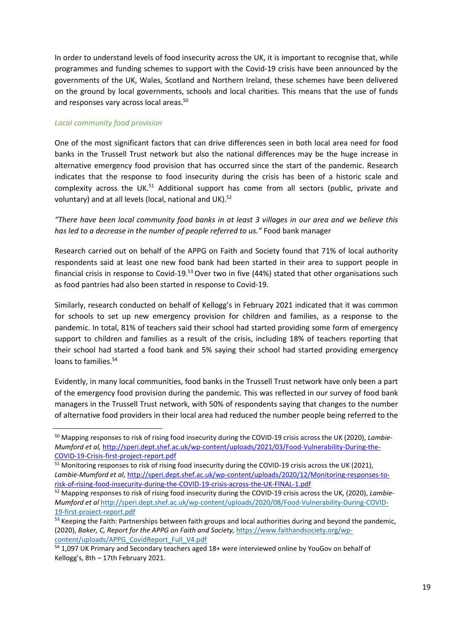In order to understand levels of food insecurity across the UK, it is important to recognise that, while programmes and funding schemes to support with the Covid-19 crisis have been announced by the governments of the UK, Wales, Scotland and Northern Ireland, these schemes have been delivered on the ground by local governments, schools and local charities. This means that the use of funds and responses vary across local areas.<sup>50</sup>

## Local community food provision

One of the most significant factors that can drive differences seen in both local area need for food banks in the Trussell Trust network but also the national differences may be the huge increase in alternative emergency food provision that has occurred since the start of the pandemic. Research indicates that the response to food insecurity during the crisis has been of a historic scale and complexity across the UK.<sup>51</sup> Additional support has come from all sectors (public, private and voluntary) and at all levels (local, national and UK).<sup>52</sup>

"There have been local community food banks in at least 3 villages in our area and we believe this has led to a decrease in the number of people referred to us." Food bank manager

Research carried out on behalf of the APPG on Faith and Society found that 71% of local authority respondents said at least one new food bank had been started in their area to support people in financial crisis in response to Covid-19.<sup>53</sup> Over two in five (44%) stated that other organisations such as food pantries had also been started in response to Covid-19.

Similarly, research conducted on behalf of Kellogg's in February 2021 indicated that it was common for schools to set up new emergency provision for children and families, as a response to the pandemic. In total, 81% of teachers said their school had started providing some form of emergency support to children and families as a result of the crisis, including 18% of teachers reporting that their school had started a food bank and 5% saying their school had started providing emergency loans to families.<sup>54</sup>

Evidently, in many local communities, food banks in the Trussell Trust network have only been a part of the emergency food provision during the pandemic. This was reflected in our survey of food bank managers in the Trussell Trust network, with 50% of respondents saying that changes to the number of alternative food providers in their local area had reduced the number people being referred to the

<sup>&</sup>lt;sup>50</sup> Mapping responses to risk of rising food insecurity during the COVID-19 crisis across the UK (2020), Lambie-Mumford et al, http://speri.dept.shef.ac.uk/wp-content/uploads/2021/03/Food-Vulnerability-During-the-COVID-19-Crisis-first-project-report.pdf

<sup>&</sup>lt;sup>51</sup> Monitoring responses to risk of rising food insecurity during the COVID-19 crisis across the UK (2021), Lambie-Mumford et al, http://speri.dept.shef.ac.uk/wp-content/uploads/2020/12/Monitoring-responses-torisk-of-rising-food-insecurity-during-the-COVID-19-crisis-across-the-UK-FINAL-1.pdf

 $52$  Mapping responses to risk of rising food insecurity during the COVID-19 crisis across the UK, (2020), Lambie-Mumford et al http://speri.dept.shef.ac.uk/wp-content/uploads/2020/08/Food-Vulnerability-During-COVID-19-first-project-report.pdf

<sup>&</sup>lt;sup>53</sup> Keeping the Faith: Partnerships between faith groups and local authorities during and beyond the pandemic, (2020), Baker, C, Report for the APPG on Faith and Society, https://www.faithandsociety.org/wpcontent/uploads/APPG\_CovidReport\_Full\_V4.pdf

<sup>&</sup>lt;sup>54</sup> 1,097 UK Primary and Secondary teachers aged 18+ were interviewed online by YouGov on behalf of Kellogg's, 8th – 17th February 2021.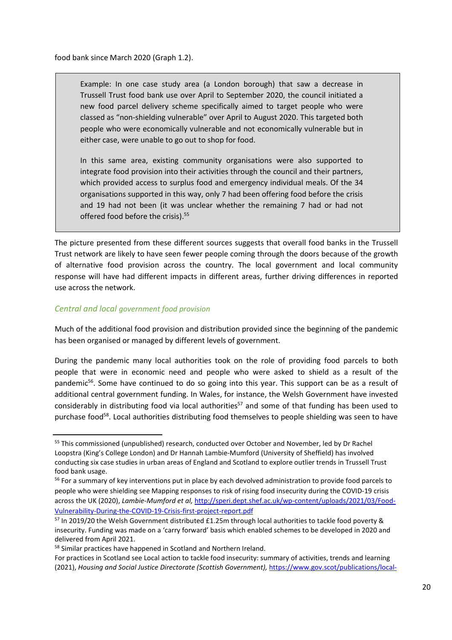food bank since March 2020 (Graph 1.2).

Example: In one case study area (a London borough) that saw a decrease in Trussell Trust food bank use over April to September 2020, the council initiated a new food parcel delivery scheme specifically aimed to target people who were classed as "non-shielding vulnerable" over April to August 2020. This targeted both people who were economically vulnerable and not economically vulnerable but in either case, were unable to go out to shop for food.

In this same area, existing community organisations were also supported to integrate food provision into their activities through the council and their partners, which provided access to surplus food and emergency individual meals. Of the 34 organisations supported in this way, only 7 had been offering food before the crisis and 19 had not been (it was unclear whether the remaining 7 had or had not offered food before the crisis).<sup>55</sup>

The picture presented from these different sources suggests that overall food banks in the Trussell Trust network are likely to have seen fewer people coming through the doors because of the growth of alternative food provision across the country. The local government and local community response will have had different impacts in different areas, further driving differences in reported use across the network.

## Central and local government food provision

Much of the additional food provision and distribution provided since the beginning of the pandemic has been organised or managed by different levels of government.

During the pandemic many local authorities took on the role of providing food parcels to both people that were in economic need and people who were asked to shield as a result of the pandemic<sup>56</sup>. Some have continued to do so going into this year. This support can be as a result of additional central government funding. In Wales, for instance, the Welsh Government have invested considerably in distributing food via local authorities<sup>57</sup> and some of that funding has been used to purchase food<sup>58</sup>. Local authorities distributing food themselves to people shielding was seen to have

<sup>&</sup>lt;sup>55</sup> This commissioned (unpublished) research, conducted over October and November, led by Dr Rachel Loopstra (King's College London) and Dr Hannah Lambie-Mumford (University of Sheffield) has involved conducting six case studies in urban areas of England and Scotland to explore outlier trends in Trussell Trust food bank usage.

<sup>&</sup>lt;sup>56</sup> For a summary of key interventions put in place by each devolved administration to provide food parcels to people who were shielding see Mapping responses to risk of rising food insecurity during the COVID-19 crisis across the UK (2020), Lambie-Mumford et al, http://speri.dept.shef.ac.uk/wp-content/uploads/2021/03/Food-Vulnerability-During-the-COVID-19-Crisis-first-project-report.pdf

<sup>&</sup>lt;sup>57</sup> In 2019/20 the Welsh Government distributed £1.25m through local authorities to tackle food poverty & insecurity. Funding was made on a 'carry forward' basis which enabled schemes to be developed in 2020 and delivered from April 2021.

<sup>58</sup> Similar practices have happened in Scotland and Northern Ireland.

For practices in Scotland see Local action to tackle food insecurity: summary of activities, trends and learning (2021), Housing and Social Justice Directorate (Scottish Government), https://www.gov.scot/publications/local-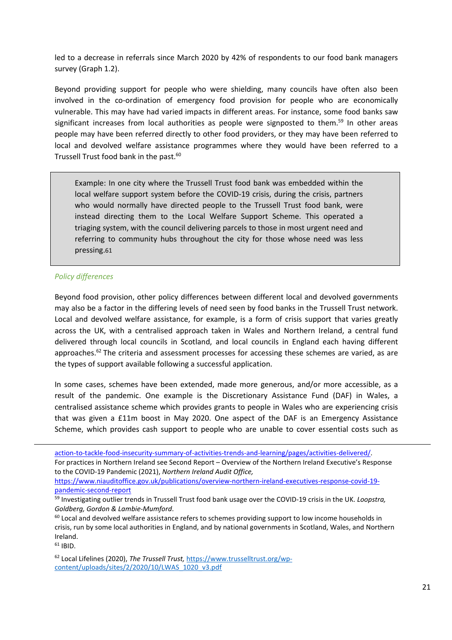led to a decrease in referrals since March 2020 by 42% of respondents to our food bank managers survey (Graph 1.2).

Beyond providing support for people who were shielding, many councils have often also been involved in the co-ordination of emergency food provision for people who are economically vulnerable. This may have had varied impacts in different areas. For instance, some food banks saw significant increases from local authorities as people were signposted to them.<sup>59</sup> In other areas people may have been referred directly to other food providers, or they may have been referred to local and devolved welfare assistance programmes where they would have been referred to a Trussell Trust food bank in the past.<sup>60</sup>

Example: In one city where the Trussell Trust food bank was embedded within the local welfare support system before the COVID-19 crisis, during the crisis, partners who would normally have directed people to the Trussell Trust food bank, were instead directing them to the Local Welfare Support Scheme. This operated a triaging system, with the council delivering parcels to those in most urgent need and referring to community hubs throughout the city for those whose need was less pressing.61

#### Policy differences

Beyond food provision, other policy differences between different local and devolved governments may also be a factor in the differing levels of need seen by food banks in the Trussell Trust network. Local and devolved welfare assistance, for example, is a form of crisis support that varies greatly across the UK, with a centralised approach taken in Wales and Northern Ireland, a central fund delivered through local councils in Scotland, and local councils in England each having different approaches. $62$  The criteria and assessment processes for accessing these schemes are varied, as are the types of support available following a successful application.

In some cases, schemes have been extended, made more generous, and/or more accessible, as a result of the pandemic. One example is the Discretionary Assistance Fund (DAF) in Wales, a centralised assistance scheme which provides grants to people in Wales who are experiencing crisis that was given a £11m boost in May 2020. One aspect of the DAF is an Emergency Assistance Scheme, which provides cash support to people who are unable to cover essential costs such as

For practices in Northern Ireland see Second Report – Overview of the Northern Ireland Executive's Response to the COVID-19 Pandemic (2021), Northern Ireland Audit Office,

https://www.niauditoffice.gov.uk/publications/overview-northern-ireland-executives-response-covid-19 pandemic-second-report

 $60$  Local and devolved welfare assistance refers to schemes providing support to low income households in crisis, run by some local authorities in England, and by national governments in Scotland, Wales, and Northern Ireland.

<sup>61</sup> IBID.

<sup>62</sup> Local Lifelines (2020), The Trussell Trust, https://www.trusselltrust.org/wpcontent/uploads/sites/2/2020/10/LWAS\_1020\_v3.pdf

action-to-tackle-food-insecurity-summary-of-activities-trends-and-learning/pages/activities-delivered/.

<sup>59</sup> Investigating outlier trends in Trussell Trust food bank usage over the COVID-19 crisis in the UK. Loopstra, Goldberg, Gordon & Lambie-Mumford.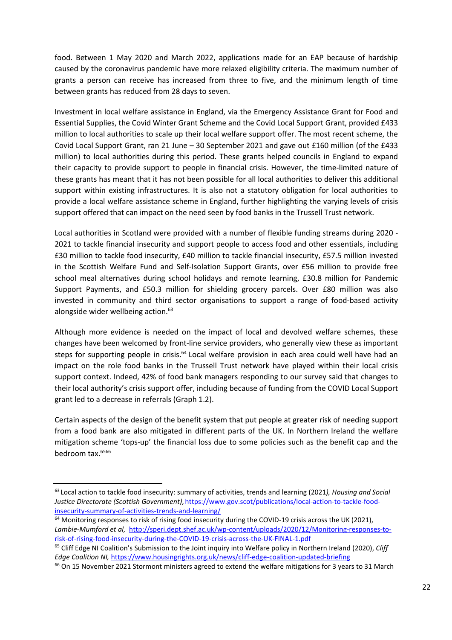food. Between 1 May 2020 and March 2022, applications made for an EAP because of hardship caused by the coronavirus pandemic have more relaxed eligibility criteria. The maximum number of grants a person can receive has increased from three to five, and the minimum length of time between grants has reduced from 28 days to seven.

Investment in local welfare assistance in England, via the Emergency Assistance Grant for Food and Essential Supplies, the Covid Winter Grant Scheme and the Covid Local Support Grant, provided £433 million to local authorities to scale up their local welfare support offer. The most recent scheme, the Covid Local Support Grant, ran 21 June – 30 September 2021 and gave out £160 million (of the £433 million) to local authorities during this period. These grants helped councils in England to expand their capacity to provide support to people in financial crisis. However, the time-limited nature of these grants has meant that it has not been possible for all local authorities to deliver this additional support within existing infrastructures. It is also not a statutory obligation for local authorities to provide a local welfare assistance scheme in England, further highlighting the varying levels of crisis support offered that can impact on the need seen by food banks in the Trussell Trust network.

Local authorities in Scotland were provided with a number of flexible funding streams during 2020 - 2021 to tackle financial insecurity and support people to access food and other essentials, including £30 million to tackle food insecurity, £40 million to tackle financial insecurity, £57.5 million invested in the Scottish Welfare Fund and Self-Isolation Support Grants, over £56 million to provide free school meal alternatives during school holidays and remote learning, £30.8 million for Pandemic Support Payments, and £50.3 million for shielding grocery parcels. Over £80 million was also invested in community and third sector organisations to support a range of food-based activity alongside wider wellbeing action.<sup>63</sup>

Although more evidence is needed on the impact of local and devolved welfare schemes, these changes have been welcomed by front-line service providers, who generally view these as important steps for supporting people in crisis.<sup>64</sup> Local welfare provision in each area could well have had an impact on the role food banks in the Trussell Trust network have played within their local crisis support context. Indeed, 42% of food bank managers responding to our survey said that changes to their local authority's crisis support offer, including because of funding from the COVID Local Support grant led to a decrease in referrals (Graph 1.2).

Certain aspects of the design of the benefit system that put people at greater risk of needing support from a food bank are also mitigated in different parts of the UK. In Northern Ireland the welfare mitigation scheme 'tops-up' the financial loss due to some policies such as the benefit cap and the bedroom tax.<sup>6566</sup>

<sup>63</sup> Local action to tackle food insecurity: summary of activities, trends and learning (2021), Housing and Social Justice Directorate (Scottish Government), https://www.gov.scot/publications/local-action-to-tackle-foodinsecurity-summary-of-activities-trends-and-learning/

<sup>&</sup>lt;sup>64</sup> Monitoring responses to risk of rising food insecurity during the COVID-19 crisis across the UK (2021), Lambie-Mumford et al, http://speri.dept.shef.ac.uk/wp-content/uploads/2020/12/Monitoring-responses-torisk-of-rising-food-insecurity-during-the-COVID-19-crisis-across-the-UK-FINAL-1.pdf

<sup>&</sup>lt;sup>65</sup> Cliff Edge NI Coalition's Submission to the Joint inquiry into Welfare policy in Northern Ireland (2020), Cliff Edge Coalition NI, https://www.housingrights.org.uk/news/cliff-edge-coalition-updated-briefing

<sup>&</sup>lt;sup>66</sup> On 15 November 2021 Stormont ministers agreed to extend the welfare mitigations for 3 years to 31 March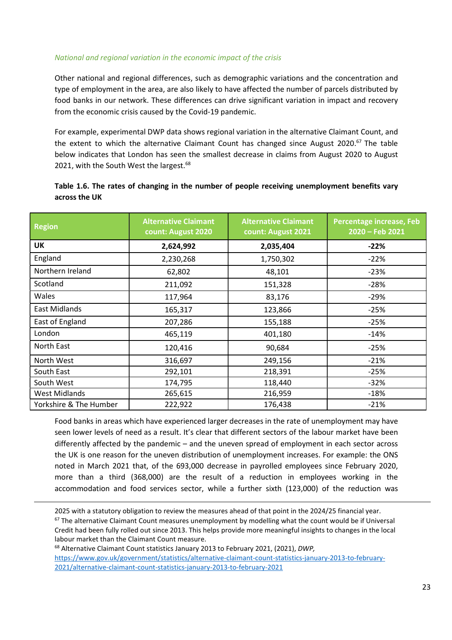#### National and regional variation in the economic impact of the crisis

Other national and regional differences, such as demographic variations and the concentration and type of employment in the area, are also likely to have affected the number of parcels distributed by food banks in our network. These differences can drive significant variation in impact and recovery from the economic crisis caused by the Covid-19 pandemic.

For example, experimental DWP data shows regional variation in the alternative Claimant Count, and the extent to which the alternative Claimant Count has changed since August 2020.<sup>67</sup> The table below indicates that London has seen the smallest decrease in claims from August 2020 to August 2021, with the South West the largest.<sup>68</sup>

## Table 1.6. The rates of changing in the number of people receiving unemployment benefits vary across the UK

| <b>Region</b>          | <b>Alternative Claimant</b><br>count: August 2020 | <b>Alternative Claimant</b><br>count: August 2021 | Percentage increase, Feb<br>2020 - Feb 2021 |
|------------------------|---------------------------------------------------|---------------------------------------------------|---------------------------------------------|
| <b>UK</b>              | 2,624,992                                         | 2,035,404                                         | $-22%$                                      |
| England                | 2,230,268                                         | 1,750,302                                         | $-22%$                                      |
| Northern Ireland       | 62,802                                            | 48,101                                            | $-23%$                                      |
| Scotland               | 211,092                                           | 151,328                                           | $-28%$                                      |
| Wales                  | 117,964                                           | 83,176                                            | $-29%$                                      |
| <b>East Midlands</b>   | 165,317                                           | 123,866                                           | $-25%$                                      |
| East of England        | 207,286                                           | 155,188                                           | $-25%$                                      |
| London                 | 465,119                                           | 401,180                                           | $-14%$                                      |
| North East             | 120,416                                           | 90,684                                            | $-25%$                                      |
| North West             | 316,697                                           | 249,156                                           | $-21%$                                      |
| South East             | 292,101                                           | 218,391                                           | $-25%$                                      |
| South West             | 174,795                                           | 118,440                                           | $-32%$                                      |
| <b>West Midlands</b>   | 265,615                                           | 216,959                                           | $-18%$                                      |
| Yorkshire & The Humber | 222,922                                           | 176,438                                           | $-21%$                                      |

Food banks in areas which have experienced larger decreases in the rate of unemployment may have seen lower levels of need as a result. It's clear that different sectors of the labour market have been differently affected by the pandemic – and the uneven spread of employment in each sector across the UK is one reason for the uneven distribution of unemployment increases. For example: the ONS noted in March 2021 that, of the 693,000 decrease in payrolled employees since February 2020, more than a third (368,000) are the result of a reduction in employees working in the accommodation and food services sector, while a further sixth (123,000) of the reduction was

<sup>68</sup> Alternative Claimant Count statistics January 2013 to February 2021, (2021), DWP, https://www.gov.uk/government/statistics/alternative-claimant-count-statistics-january-2013-to-february-2021/alternative-claimant-count-statistics-january-2013-to-february-2021

<sup>2025</sup> with a statutory obligation to review the measures ahead of that point in the 2024/25 financial year.  $67$  The alternative Claimant Count measures unemployment by modelling what the count would be if Universal Credit had been fully rolled out since 2013. This helps provide more meaningful insights to changes in the local labour market than the Claimant Count measure.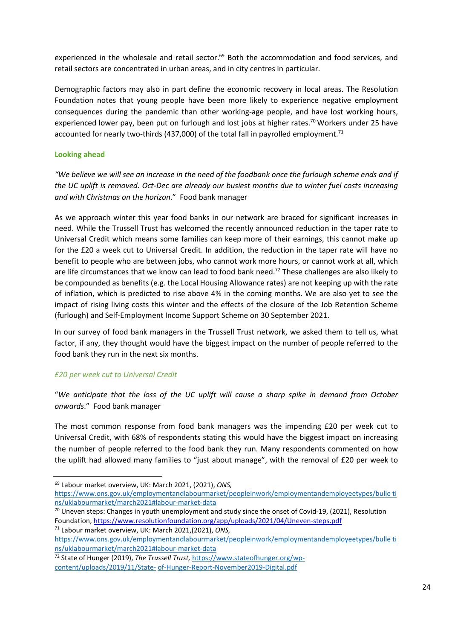experienced in the wholesale and retail sector.<sup>69</sup> Both the accommodation and food services, and retail sectors are concentrated in urban areas, and in city centres in particular.

Demographic factors may also in part define the economic recovery in local areas. The Resolution Foundation notes that young people have been more likely to experience negative employment consequences during the pandemic than other working-age people, and have lost working hours, experienced lower pay, been put on furlough and lost jobs at higher rates.<sup>70</sup> Workers under 25 have accounted for nearly two-thirds (437,000) of the total fall in payrolled employment.<sup>71</sup>

## Looking ahead

"We believe we will see an increase in the need of the foodbank once the furlough scheme ends and if the UC uplift is removed. Oct-Dec are already our busiest months due to winter fuel costs increasing and with Christmas on the horizon." Food bank manager

As we approach winter this year food banks in our network are braced for significant increases in need. While the Trussell Trust has welcomed the recently announced reduction in the taper rate to Universal Credit which means some families can keep more of their earnings, this cannot make up for the £20 a week cut to Universal Credit. In addition, the reduction in the taper rate will have no benefit to people who are between jobs, who cannot work more hours, or cannot work at all, which are life circumstances that we know can lead to food bank need.<sup>72</sup> These challenges are also likely to be compounded as benefits (e.g. the Local Housing Allowance rates) are not keeping up with the rate of inflation, which is predicted to rise above 4% in the coming months. We are also yet to see the impact of rising living costs this winter and the effects of the closure of the Job Retention Scheme (furlough) and Self-Employment Income Support Scheme on 30 September 2021.

In our survey of food bank managers in the Trussell Trust network, we asked them to tell us, what factor, if any, they thought would have the biggest impact on the number of people referred to the food bank they run in the next six months.

## £20 per week cut to Universal Credit

"We anticipate that the loss of the UC uplift will cause a sharp spike in demand from October onwards." Food bank manager

The most common response from food bank managers was the impending £20 per week cut to Universal Credit, with 68% of respondents stating this would have the biggest impact on increasing the number of people referred to the food bank they run. Many respondents commented on how the uplift had allowed many families to "just about manage", with the removal of £20 per week to

<sup>&</sup>lt;sup>69</sup> Labour market overview, UK: March 2021, (2021), ONS,

https://www.ons.gov.uk/employmentandlabourmarket/peopleinwork/employmentandemployeetypes/bulle ti ns/uklabourmarket/march2021#labour-market-data

<sup>70</sup> Uneven steps: Changes in youth unemployment and study since the onset of Covid-19, (2021), Resolution Foundation, https://www.resolutionfoundation.org/app/uploads/2021/04/Uneven-steps.pdf

<sup>71</sup> Labour market overview, UK: March 2021,(2021), ONS, https://www.ons.gov.uk/employmentandlabourmarket/peopleinwork/employmentandemployeetypes/bulle ti ns/uklabourmarket/march2021#labour-market-data

<sup>&</sup>lt;sup>72</sup> State of Hunger (2019), The Trussell Trust, https://www.stateofhunger.org/wp-

content/uploads/2019/11/State- of-Hunger-Report-November2019-Digital.pdf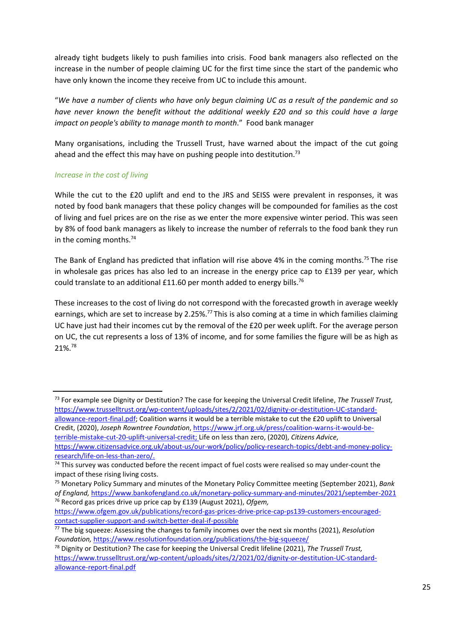already tight budgets likely to push families into crisis. Food bank managers also reflected on the increase in the number of people claiming UC for the first time since the start of the pandemic who have only known the income they receive from UC to include this amount.

"We have a number of clients who have only begun claiming UC as a result of the pandemic and so have never known the benefit without the additional weekly £20 and so this could have a large impact on people's ability to manage month to month." Food bank manager

Many organisations, including the Trussell Trust, have warned about the impact of the cut going ahead and the effect this may have on pushing people into destitution.<sup>73</sup>

## Increase in the cost of living

While the cut to the £20 uplift and end to the JRS and SEISS were prevalent in responses, it was noted by food bank managers that these policy changes will be compounded for families as the cost of living and fuel prices are on the rise as we enter the more expensive winter period. This was seen by 8% of food bank managers as likely to increase the number of referrals to the food bank they run in the coming months.<sup>74</sup>

The Bank of England has predicted that inflation will rise above 4% in the coming months.<sup>75</sup> The rise in wholesale gas prices has also led to an increase in the energy price cap to £139 per year, which could translate to an additional £11.60 per month added to energy bills.<sup>76</sup>

These increases to the cost of living do not correspond with the forecasted growth in average weekly earnings, which are set to increase by 2.25%.<sup>77</sup> This is also coming at a time in which families claiming UC have just had their incomes cut by the removal of the £20 per week uplift. For the average person on UC, the cut represents a loss of 13% of income, and for some families the figure will be as high as 21%.<sup>78</sup>

https://www.ofgem.gov.uk/publications/record-gas-prices-drive-price-cap-ps139-customers-encouragedcontact-supplier-support-and-switch-better-deal-if-possible

<sup>&</sup>lt;sup>73</sup> For example see Dignity or Destitution? The case for keeping the Universal Credit lifeline, The Trussell Trust, https://www.trusselltrust.org/wp-content/uploads/sites/2/2021/02/dignity-or-destitution-UC-standardallowance-report-final.pdf; Coalition warns it would be a terrible mistake to cut the £20 uplift to Universal Credit, (2020), Joseph Rowntree Foundation, https://www.jrf.org.uk/press/coalition-warns-it-would-beterrible-mistake-cut-20-uplift-universal-credit; Life on less than zero, (2020), Citizens Advice, https://www.citizensadvice.org.uk/about-us/our-work/policy/policy-research-topics/debt-and-money-policyresearch/life-on-less-than-zero/.

 $74$  This survey was conducted before the recent impact of fuel costs were realised so may under-count the impact of these rising living costs.

<sup>&</sup>lt;sup>75</sup> Monetary Policy Summary and minutes of the Monetary Policy Committee meeting (September 2021), Bank of England, https://www.bankofengland.co.uk/monetary-policy-summary-and-minutes/2021/september-2021 <sup>76</sup> Record gas prices drive up price cap by £139 (August 2021), Ofgem,

 $77$  The big squeeze: Assessing the changes to family incomes over the next six months (2021), Resolution Foundation, https://www.resolutionfoundation.org/publications/the-big-squeeze/

<sup>&</sup>lt;sup>78</sup> Dignity or Destitution? The case for keeping the Universal Credit lifeline (2021), The Trussell Trust, https://www.trusselltrust.org/wp-content/uploads/sites/2/2021/02/dignity-or-destitution-UC-standardallowance-report-final.pdf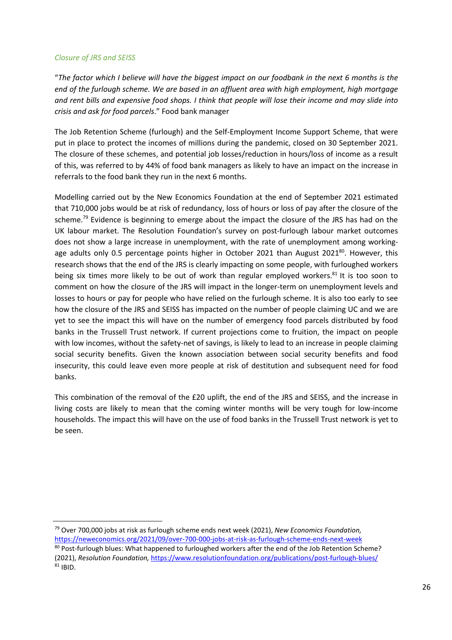#### Closure of JRS and SEISS

"The factor which I believe will have the biggest impact on our foodbank in the next 6 months is the end of the furlough scheme. We are based in an affluent area with high employment, high mortgage and rent bills and expensive food shops. I think that people will lose their income and may slide into crisis and ask for food parcels." Food bank manager

The Job Retention Scheme (furlough) and the Self-Employment Income Support Scheme, that were put in place to protect the incomes of millions during the pandemic, closed on 30 September 2021. The closure of these schemes, and potential job losses/reduction in hours/loss of income as a result of this, was referred to by 44% of food bank managers as likely to have an impact on the increase in referrals to the food bank they run in the next 6 months.

Modelling carried out by the New Economics Foundation at the end of September 2021 estimated that 710,000 jobs would be at risk of redundancy, loss of hours or loss of pay after the closure of the scheme.<sup>79</sup> Evidence is beginning to emerge about the impact the closure of the JRS has had on the UK labour market. The Resolution Foundation's survey on post-furlough labour market outcomes does not show a large increase in unemployment, with the rate of unemployment among workingage adults only 0.5 percentage points higher in October 2021 than August 2021 $^{80}$ . However, this research shows that the end of the JRS is clearly impacting on some people, with furloughed workers being six times more likely to be out of work than regular employed workers.<sup>81</sup> It is too soon to comment on how the closure of the JRS will impact in the longer-term on unemployment levels and losses to hours or pay for people who have relied on the furlough scheme. It is also too early to see how the closure of the JRS and SEISS has impacted on the number of people claiming UC and we are yet to see the impact this will have on the number of emergency food parcels distributed by food banks in the Trussell Trust network. If current projections come to fruition, the impact on people with low incomes, without the safety-net of savings, is likely to lead to an increase in people claiming social security benefits. Given the known association between social security benefits and food insecurity, this could leave even more people at risk of destitution and subsequent need for food banks.

This combination of the removal of the £20 uplift, the end of the JRS and SEISS, and the increase in living costs are likely to mean that the coming winter months will be very tough for low-income households. The impact this will have on the use of food banks in the Trussell Trust network is yet to be seen.

 $79$  Over 700,000 jobs at risk as furlough scheme ends next week (2021), New Economics Foundation, https://neweconomics.org/2021/09/over-700-000-jobs-at-risk-as-furlough-scheme-ends-next-week

80 Post-furlough blues: What happened to furloughed workers after the end of the Job Retention Scheme? (2021), Resolution Foundation, https://www.resolutionfoundation.org/publications/post-furlough-blues/  $81$  IBID.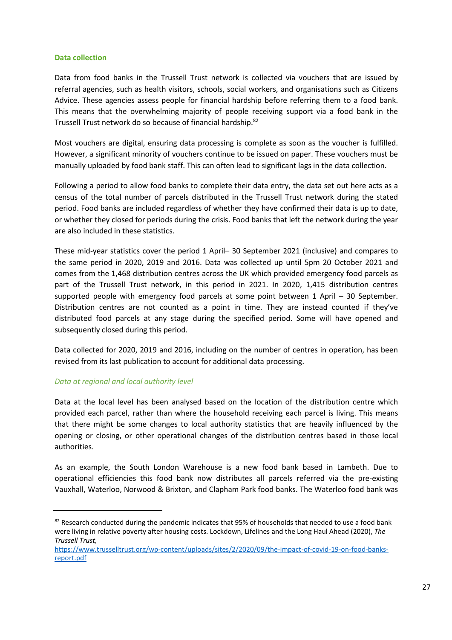#### Data collection

Data from food banks in the Trussell Trust network is collected via vouchers that are issued by referral agencies, such as health visitors, schools, social workers, and organisations such as Citizens Advice. These agencies assess people for financial hardship before referring them to a food bank. This means that the overwhelming majority of people receiving support via a food bank in the Trussell Trust network do so because of financial hardship.<sup>82</sup>

Most vouchers are digital, ensuring data processing is complete as soon as the voucher is fulfilled. However, a significant minority of vouchers continue to be issued on paper. These vouchers must be manually uploaded by food bank staff. This can often lead to significant lags in the data collection.

Following a period to allow food banks to complete their data entry, the data set out here acts as a census of the total number of parcels distributed in the Trussell Trust network during the stated period. Food banks are included regardless of whether they have confirmed their data is up to date, or whether they closed for periods during the crisis. Food banks that left the network during the year are also included in these statistics.

These mid-year statistics cover the period 1 April– 30 September 2021 (inclusive) and compares to the same period in 2020, 2019 and 2016. Data was collected up until 5pm 20 October 2021 and comes from the 1,468 distribution centres across the UK which provided emergency food parcels as part of the Trussell Trust network, in this period in 2021. In 2020, 1,415 distribution centres supported people with emergency food parcels at some point between 1 April – 30 September. Distribution centres are not counted as a point in time. They are instead counted if they've distributed food parcels at any stage during the specified period. Some will have opened and subsequently closed during this period.

Data collected for 2020, 2019 and 2016, including on the number of centres in operation, has been revised from its last publication to account for additional data processing.

#### Data at regional and local authority level

Data at the local level has been analysed based on the location of the distribution centre which provided each parcel, rather than where the household receiving each parcel is living. This means that there might be some changes to local authority statistics that are heavily influenced by the opening or closing, or other operational changes of the distribution centres based in those local authorities.

As an example, the South London Warehouse is a new food bank based in Lambeth. Due to operational efficiencies this food bank now distributes all parcels referred via the pre-existing Vauxhall, Waterloo, Norwood & Brixton, and Clapham Park food banks. The Waterloo food bank was

 $82$  Research conducted during the pandemic indicates that 95% of households that needed to use a food bank were living in relative poverty after housing costs. Lockdown, Lifelines and the Long Haul Ahead (2020), The Trussell Trust,

https://www.trusselltrust.org/wp-content/uploads/sites/2/2020/09/the-impact-of-covid-19-on-food-banksreport.pdf